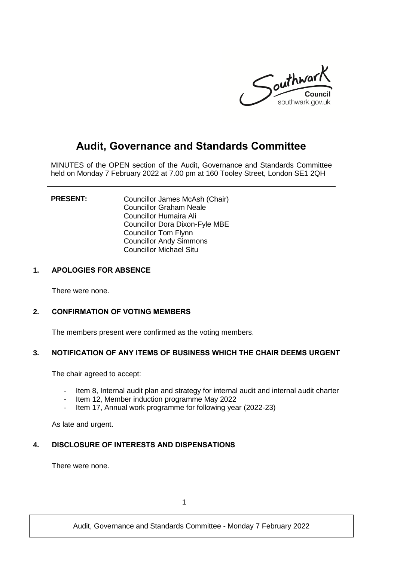

# **Audit, Governance and Standards Committee**

MINUTES of the OPEN section of the Audit, Governance and Standards Committee held on Monday 7 February 2022 at 7.00 pm at 160 Tooley Street, London SE1 2QH

**PRESENT:** Councillor James McAsh (Chair) Councillor Graham Neale Councillor Humaira Ali Councillor Dora Dixon-Fyle MBE Councillor Tom Flynn Councillor Andy Simmons Councillor Michael Situ

## **1. APOLOGIES FOR ABSENCE**

There were none.

## **2. CONFIRMATION OF VOTING MEMBERS**

The members present were confirmed as the voting members.

## **3. NOTIFICATION OF ANY ITEMS OF BUSINESS WHICH THE CHAIR DEEMS URGENT**

The chair agreed to accept:

- Item 8, Internal audit plan and strategy for internal audit and internal audit charter
- Item 12, Member induction programme May 2022
- Item 17, Annual work programme for following year (2022-23)

As late and urgent.

# **4. DISCLOSURE OF INTERESTS AND DISPENSATIONS**

There were none.

1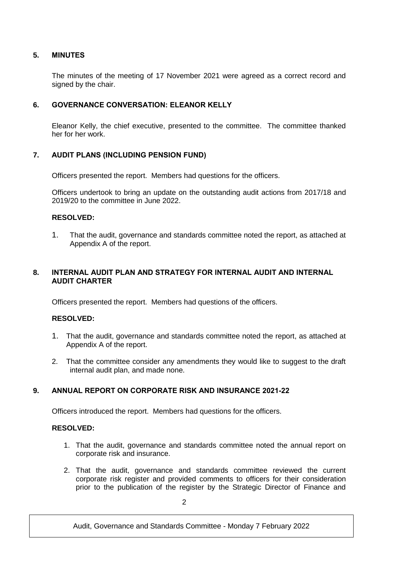## **5. MINUTES**

The minutes of the meeting of 17 November 2021 were agreed as a correct record and signed by the chair.

## **6. GOVERNANCE CONVERSATION: ELEANOR KELLY**

Eleanor Kelly, the chief executive, presented to the committee. The committee thanked her for her work.

## **7. AUDIT PLANS (INCLUDING PENSION FUND)**

Officers presented the report. Members had questions for the officers.

Officers undertook to bring an update on the outstanding audit actions from 2017/18 and 2019/20 to the committee in June 2022.

## **RESOLVED:**

1. That the audit, governance and standards committee noted the report, as attached at Appendix A of the report.

## **8. INTERNAL AUDIT PLAN AND STRATEGY FOR INTERNAL AUDIT AND INTERNAL AUDIT CHARTER**

Officers presented the report. Members had questions of the officers.

#### **RESOLVED:**

- 1. That the audit, governance and standards committee noted the report, as attached at Appendix A of the report.
- 2. That the committee consider any amendments they would like to suggest to the draft internal audit plan, and made none.

# **9. ANNUAL REPORT ON CORPORATE RISK AND INSURANCE 2021-22**

Officers introduced the report. Members had questions for the officers.

## **RESOLVED:**

- 1. That the audit, governance and standards committee noted the annual report on corporate risk and insurance.
- 2. That the audit, governance and standards committee reviewed the current corporate risk register and provided comments to officers for their consideration prior to the publication of the register by the Strategic Director of Finance and

Audit, Governance and Standards Committee - Monday 7 February 2022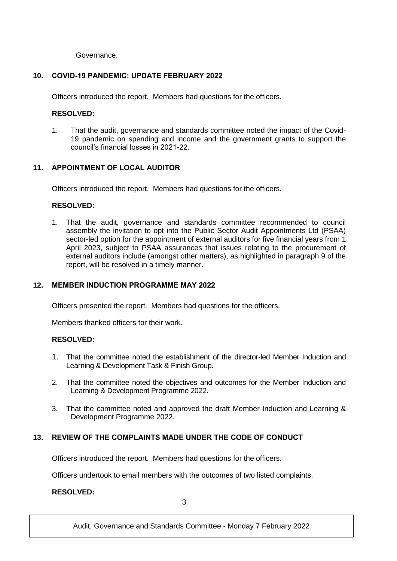Governance.

# **10. COVID-19 PANDEMIC: UPDATE FEBRUARY 2022**

Officers introduced the report. Members had questions for the officers.

## **RESOLVED:**

1. That the audit, governance and standards committee noted the impact of the Covid-19 pandemic on spending and income and the government grants to support the council's financial losses in 2021-22.

## **11. APPOINTMENT OF LOCAL AUDITOR**

Officers introduced the report. Members had questions for the officers.

## **RESOLVED:**

1. That the audit, governance and standards committee recommended to council assembly the invitation to opt into the Public Sector Audit Appointments Ltd (PSAA) sector-led option for the appointment of external auditors for five financial years from 1 April 2023, subject to PSAA assurances that issues relating to the procurement of external auditors include (amongst other matters), as highlighted in paragraph 9 of the report, will be resolved in a timely manner.

## **12. MEMBER INDUCTION PROGRAMME MAY 2022**

Officers presented the report. Members had questions for the officers.

Members thanked officers for their work.

## **RESOLVED:**

- 1. That the committee noted the establishment of the director-led Member Induction and Learning & Development Task & Finish Group.
- 2. That the committee noted the objectives and outcomes for the Member Induction and Learning & Development Programme 2022.
- 3. That the committee noted and approved the draft Member Induction and Learning & Development Programme 2022.

# **13. REVIEW OF THE COMPLAINTS MADE UNDER THE CODE OF CONDUCT**

Officers introduced the report. Members had questions for the officers.

Officers undertook to email members with the outcomes of two listed complaints.

## **RESOLVED:**

3

Audit, Governance and Standards Committee - Monday 7 February 2022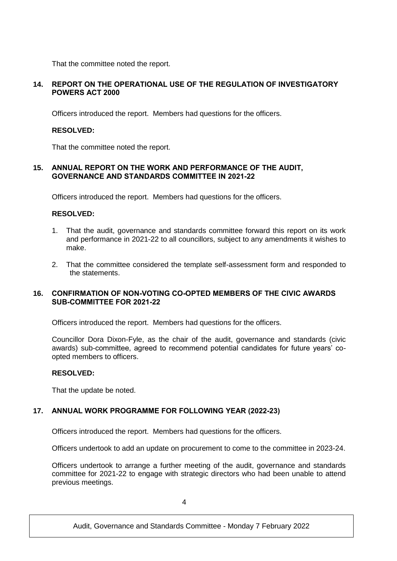That the committee noted the report.

## **14. REPORT ON THE OPERATIONAL USE OF THE REGULATION OF INVESTIGATORY POWERS ACT 2000**

Officers introduced the report. Members had questions for the officers.

#### **RESOLVED:**

That the committee noted the report.

## **15. ANNUAL REPORT ON THE WORK AND PERFORMANCE OF THE AUDIT, GOVERNANCE AND STANDARDS COMMITTEE IN 2021-22**

Officers introduced the report. Members had questions for the officers.

#### **RESOLVED:**

- 1. That the audit, governance and standards committee forward this report on its work and performance in 2021-22 to all councillors, subject to any amendments it wishes to make.
- 2. That the committee considered the template self-assessment form and responded to the statements.

## **16. CONFIRMATION OF NON-VOTING CO-OPTED MEMBERS OF THE CIVIC AWARDS SUB-COMMITTEE FOR 2021-22**

Officers introduced the report. Members had questions for the officers.

Councillor Dora Dixon-Fyle, as the chair of the audit, governance and standards (civic awards) sub-committee, agreed to recommend potential candidates for future years' coopted members to officers.

#### **RESOLVED:**

That the update be noted.

## **17. ANNUAL WORK PROGRAMME FOR FOLLOWING YEAR (2022-23)**

Officers introduced the report. Members had questions for the officers.

Officers undertook to add an update on procurement to come to the committee in 2023-24.

Officers undertook to arrange a further meeting of the audit, governance and standards committee for 2021-22 to engage with strategic directors who had been unable to attend previous meetings.

Audit, Governance and Standards Committee - Monday 7 February 2022